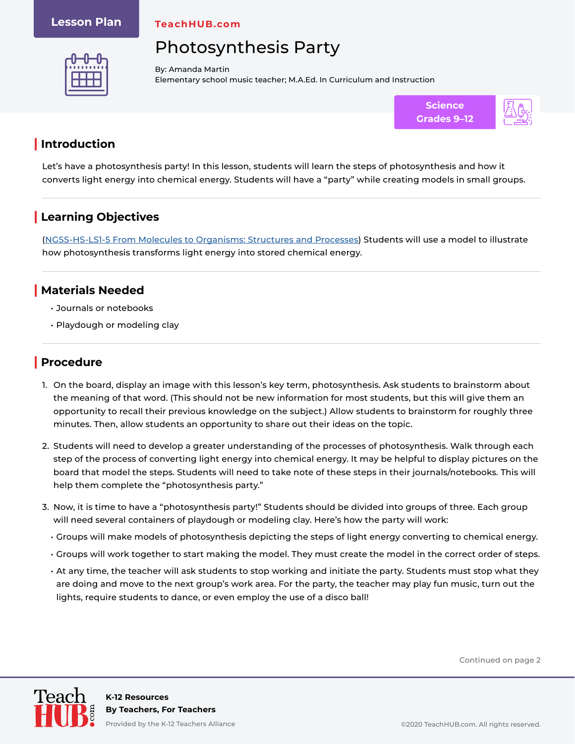#### **Lesson Plan**

**TeachHUB.com**

# Photosynthesis Party



By: Amanda Martin Elementary school music teacher; M.A.Ed. In Curriculum and Instruction



### **| Introduction**

Let's have a photosynthesis party! In this lesson, students will learn the steps of photosynthesis and how it converts light energy into chemical energy. Students will have a "party" while creating models in small groups.

## **| Learning Objectives**

[\(NGSS-HS-LS1-5 From Molecules to Organisms: Structures and Processes\)](https://www.nextgenscience.org/pe/hs-ls1-5-molecules-organisms-structures-and-processes) Students will use a model to illustrate how photosynthesis transforms light energy into stored chemical energy.

#### **| Materials Needed**

- Journals or notebooks
- Playdough or modeling clay

### **| Procedure**

- 1. On the board, display an image with this lesson's key term, photosynthesis. Ask students to brainstorm about the meaning of that word. (This should not be new information for most students, but this will give them an opportunity to recall their previous knowledge on the subject.) Allow students to brainstorm for roughly three minutes. Then, allow students an opportunity to share out their ideas on the topic.
- 2. Students will need to develop a greater understanding of the processes of photosynthesis. Walk through each step of the process of converting light energy into chemical energy. It may be helpful to display pictures on the board that model the steps. Students will need to take note of these steps in their journals/notebooks. This will help them complete the "photosynthesis party."
- 3. Now, it is time to have a "photosynthesis party!" Students should be divided into groups of three. Each group will need several containers of playdough or modeling clay. Here's how the party will work:
	- Groups will make models of photosynthesis depicting the steps of light energy converting to chemical energy.
	- Groups will work together to start making the model. They must create the model in the correct order of steps.
	- At any time, the teacher will ask students to stop working and initiate the party. Students must stop what they are doing and move to the next group's work area. For the party, the teacher may play fun music, turn out the lights, require students to dance, or even employ the use of a disco ball!

Continued on page 2